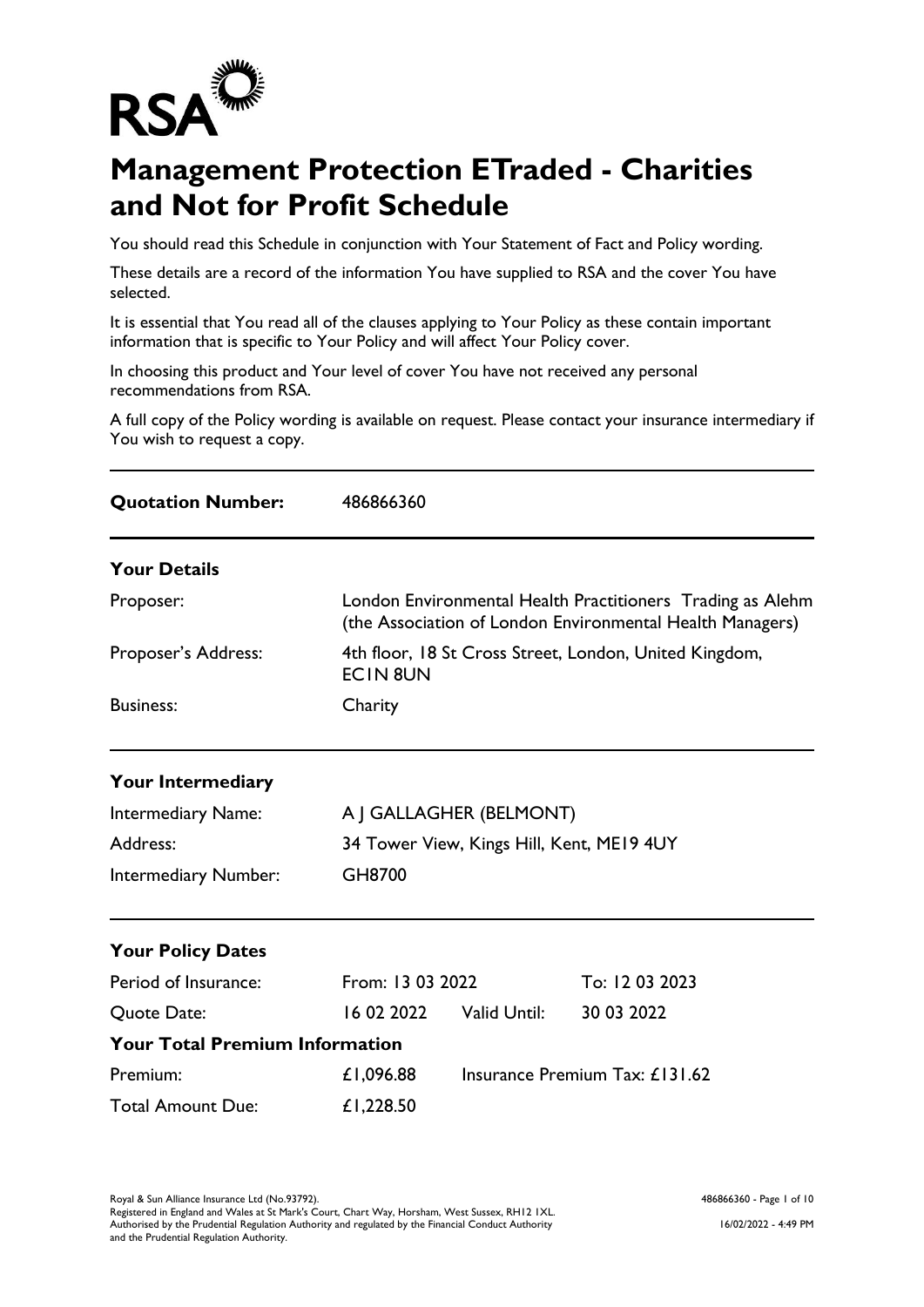

## **Management Protection ETraded - Charities and Not for Profit Schedule**

You should read this Schedule in conjunction with Your Statement of Fact and Policy wording.

These details are a record of the information You have supplied to RSA and the cover You have selected.

It is essential that You read all of the clauses applying to Your Policy as these contain important information that is specific to Your Policy and will affect Your Policy cover.

In choosing this product and Your level of cover You have not received any personal recommendations from RSA.

A full copy of the Policy wording is available on request. Please contact your insurance intermediary if You wish to request a copy.

| <b>Quotation Number:</b>              | 486866360                                 |                                                                                                                         |                                |  |
|---------------------------------------|-------------------------------------------|-------------------------------------------------------------------------------------------------------------------------|--------------------------------|--|
| <b>Your Details</b>                   |                                           |                                                                                                                         |                                |  |
| Proposer:                             |                                           | London Environmental Health Practitioners Trading as Alehm<br>(the Association of London Environmental Health Managers) |                                |  |
| Proposer's Address:                   | <b>ECIN 8UN</b>                           | 4th floor, 18 St Cross Street, London, United Kingdom,                                                                  |                                |  |
| <b>Business:</b>                      | Charity                                   |                                                                                                                         |                                |  |
| Your Intermediary                     |                                           |                                                                                                                         |                                |  |
| Intermediary Name:                    |                                           | A J GALLAGHER (BELMONT)                                                                                                 |                                |  |
| Address:                              | 34 Tower View, Kings Hill, Kent, ME19 4UY |                                                                                                                         |                                |  |
| Intermediary Number:                  | GH8700                                    |                                                                                                                         |                                |  |
| <b>Your Policy Dates</b>              |                                           |                                                                                                                         |                                |  |
| Period of Insurance:                  | From: 13 03 2022                          |                                                                                                                         | To: 12 03 2023                 |  |
| Quote Date:                           | 16 02 2022                                | Valid Until:                                                                                                            | 30 03 2022                     |  |
| <b>Your Total Premium Information</b> |                                           |                                                                                                                         |                                |  |
| Premium:                              | £1,096.88                                 |                                                                                                                         | Insurance Premium Tax: £131.62 |  |
| <b>Total Amount Due:</b>              | £1,228.50                                 |                                                                                                                         |                                |  |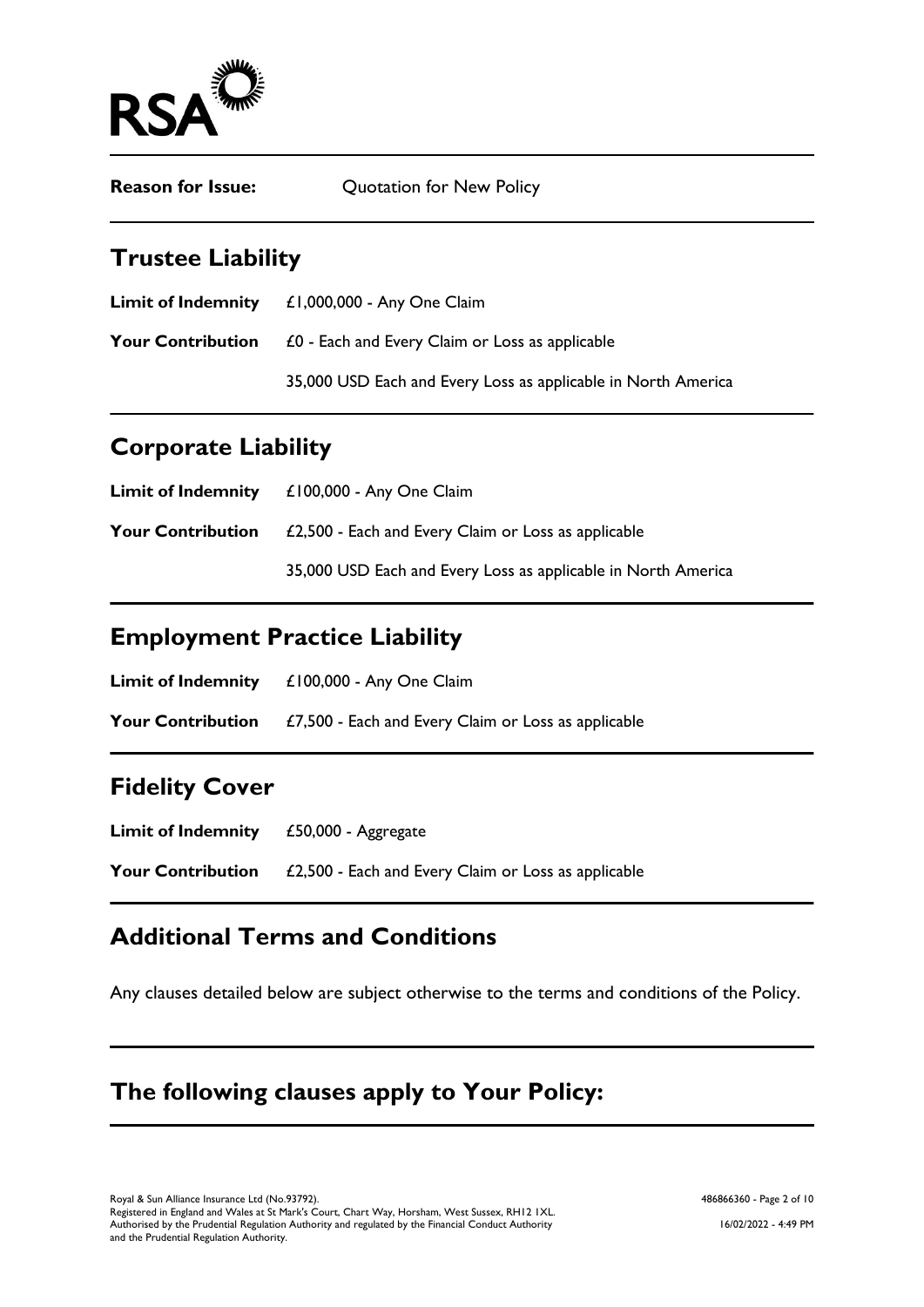

| <b>Reason for Issue:</b> | Quotation for New Policy |
|--------------------------|--------------------------|
|--------------------------|--------------------------|

## **Trustee Liability**

| <b>Limit of Indemnity</b> | £1,000,000 - Any One Claim                                    |
|---------------------------|---------------------------------------------------------------|
| <b>Your Contribution</b>  | £0 - Each and Every Claim or Loss as applicable               |
|                           | 35,000 USD Each and Every Loss as applicable in North America |

## **Corporate Liability**

| <b>Limit of Indemnity</b> | $£100,000 - Any One Claim$                                    |
|---------------------------|---------------------------------------------------------------|
| <b>Your Contribution</b>  | £2,500 - Each and Every Claim or Loss as applicable           |
|                           | 35,000 USD Each and Every Loss as applicable in North America |

## **Employment Practice Liability**

| <b>Limit of Indemnity</b> | £100,000 - Any One Claim                            |
|---------------------------|-----------------------------------------------------|
| <b>Your Contribution</b>  | £7,500 - Each and Every Claim or Loss as applicable |

### **Fidelity Cover**

**Limit of Indemnity** £50,000 - Aggregate **Your Contribution** £2,500 - Each and Every Claim or Loss as applicable

### **Additional Terms and Conditions**

Any clauses detailed below are subject otherwise to the terms and conditions of the Policy.

## **The following clauses apply to Your Policy:**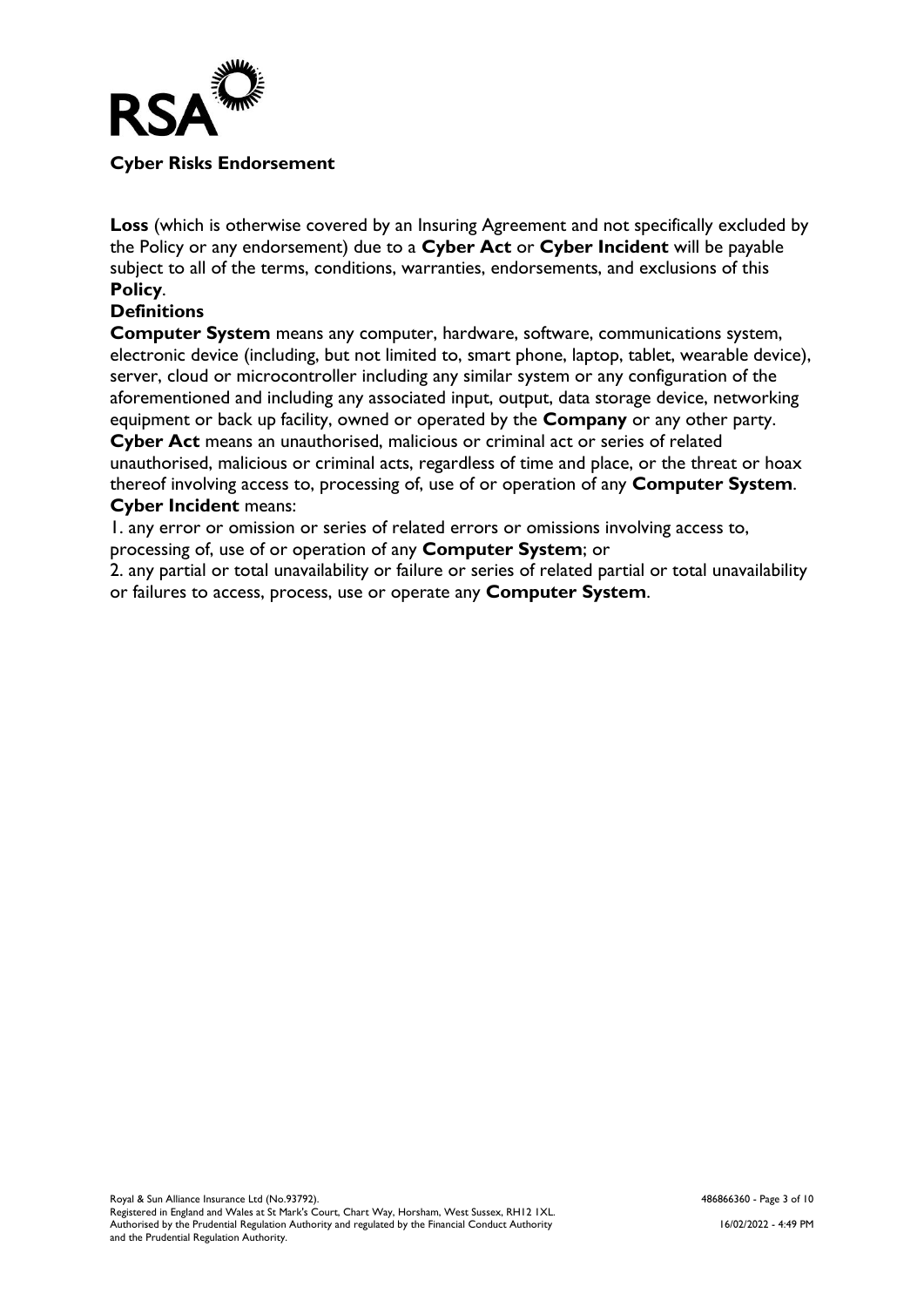

#### **Cyber Risks Endorsement**

**Loss** (which is otherwise covered by an Insuring Agreement and not specifically excluded by the Policy or any endorsement) due to a **Cyber Act** or **Cyber Incident** will be payable subject to all of the terms, conditions, warranties, endorsements, and exclusions of this **Policy**.

#### **Definitions**

**Computer System** means any computer, hardware, software, communications system, electronic device (including, but not limited to, smart phone, laptop, tablet, wearable device), server, cloud or microcontroller including any similar system or any configuration of the aforementioned and including any associated input, output, data storage device, networking equipment or back up facility, owned or operated by the **Company** or any other party. **Cyber Act** means an unauthorised, malicious or criminal act or series of related unauthorised, malicious or criminal acts, regardless of time and place, or the threat or hoax thereof involving access to, processing of, use of or operation of any **Computer System**. **Cyber Incident** means:

#### 1. any error or omission or series of related errors or omissions involving access to, processing of, use of or operation of any **Computer System**; or

2. any partial or total unavailability or failure or series of related partial or total unavailability or failures to access, process, use or operate any **Computer System**.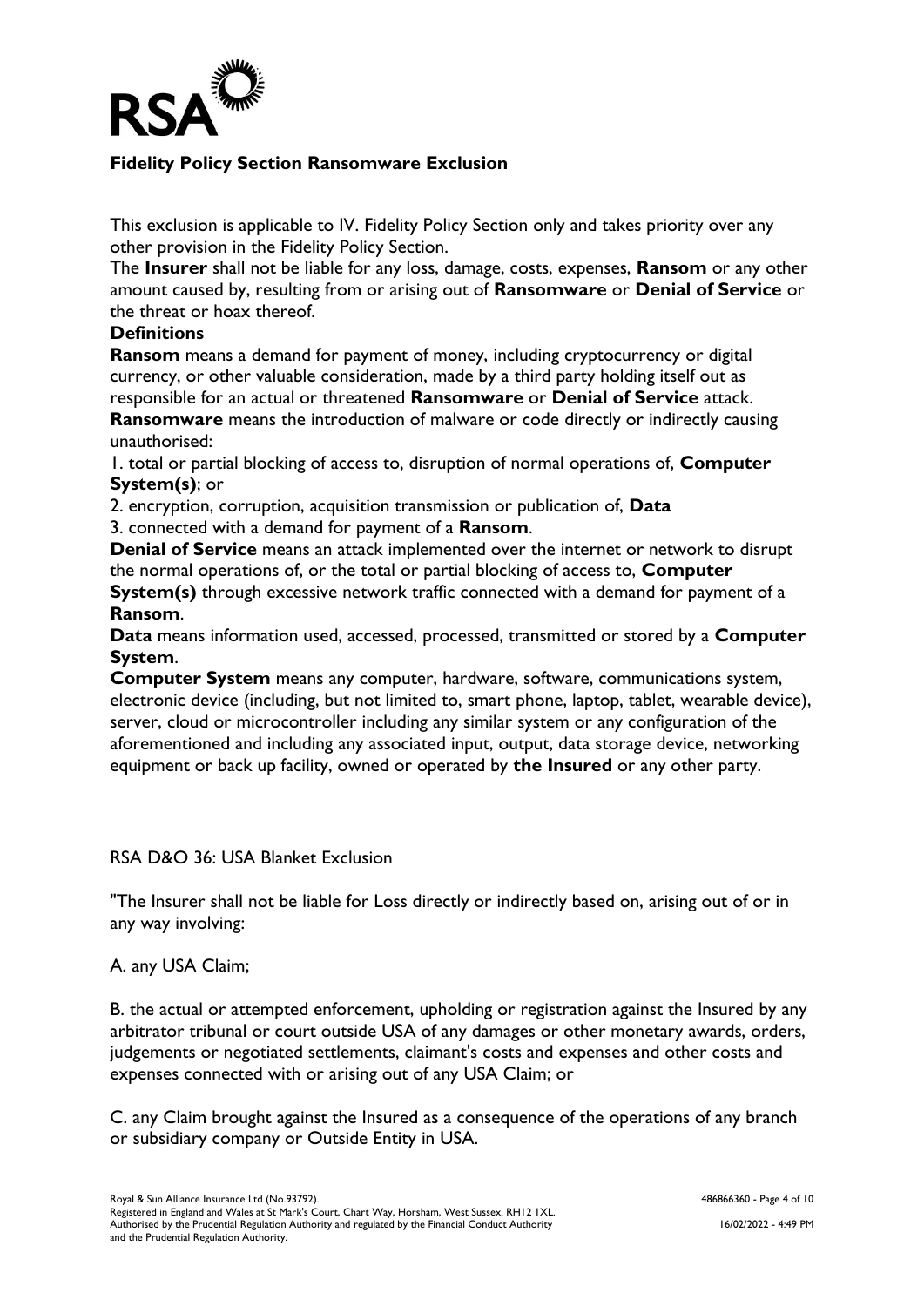

#### **Fidelity Policy Section Ransomware Exclusion**

This exclusion is applicable to IV. Fidelity Policy Section only and takes priority over any other provision in the Fidelity Policy Section.

The **Insurer** shall not be liable for any loss, damage, costs, expenses, **Ransom** or any other amount caused by, resulting from or arising out of **Ransomware** or **Denial of Service** or the threat or hoax thereof.

#### **Definitions**

**Ransom** means a demand for payment of money, including cryptocurrency or digital currency, or other valuable consideration, made by a third party holding itself out as responsible for an actual or threatened **Ransomware** or **Denial of Service** attack.

**Ransomware** means the introduction of malware or code directly or indirectly causing unauthorised:

1. total or partial blocking of access to, disruption of normal operations of, **Computer System(s)**; or

2. encryption, corruption, acquisition transmission or publication of, **Data**

3. connected with a demand for payment of a **Ransom**.

**Denial of Service** means an attack implemented over the internet or network to disrupt the normal operations of, or the total or partial blocking of access to, **Computer** 

**System(s)** through excessive network traffic connected with a demand for payment of a **Ransom**.

**Data** means information used, accessed, processed, transmitted or stored by a **Computer System**.

**Computer System** means any computer, hardware, software, communications system, electronic device (including, but not limited to, smart phone, laptop, tablet, wearable device), server, cloud or microcontroller including any similar system or any configuration of the aforementioned and including any associated input, output, data storage device, networking equipment or back up facility, owned or operated by **the Insured** or any other party.

#### RSA D&O 36: USA Blanket Exclusion

"The Insurer shall not be liable for Loss directly or indirectly based on, arising out of or in any way involving:

#### A. any USA Claim;

B. the actual or attempted enforcement, upholding or registration against the Insured by any arbitrator tribunal or court outside USA of any damages or other monetary awards, orders, judgements or negotiated settlements, claimant's costs and expenses and other costs and expenses connected with or arising out of any USA Claim; or

C. any Claim brought against the Insured as a consequence of the operations of any branch or subsidiary company or Outside Entity in USA.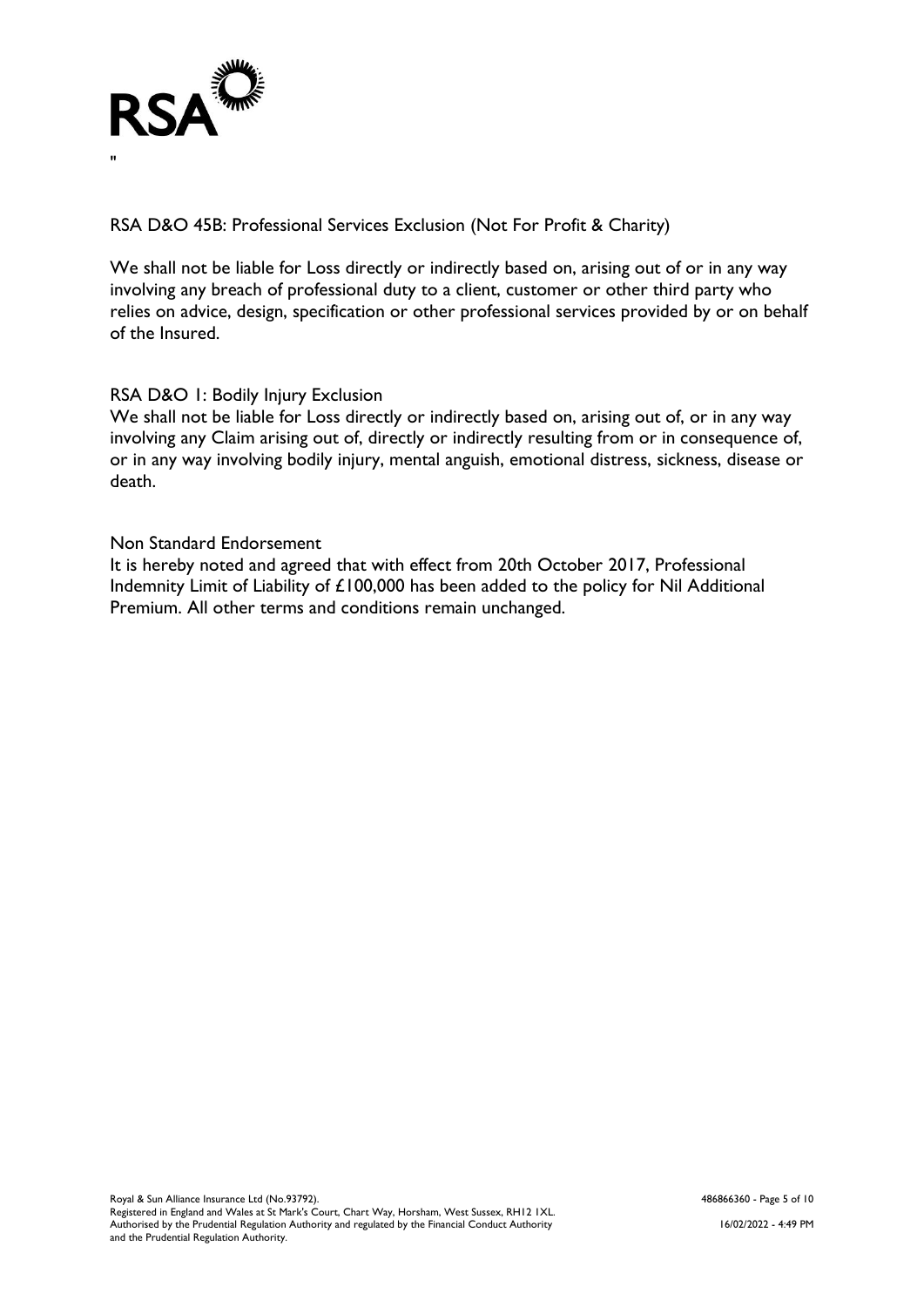

RSA D&O 45B: Professional Services Exclusion (Not For Profit & Charity)

We shall not be liable for Loss directly or indirectly based on, arising out of or in any way involving any breach of professional duty to a client, customer or other third party who relies on advice, design, specification or other professional services provided by or on behalf of the Insured.

#### RSA D&O 1: Bodily Injury Exclusion

We shall not be liable for Loss directly or indirectly based on, arising out of, or in any way involving any Claim arising out of, directly or indirectly resulting from or in consequence of, or in any way involving bodily injury, mental anguish, emotional distress, sickness, disease or death.

#### Non Standard Endorsement

It is hereby noted and agreed that with effect from 20th October 2017, Professional Indemnity Limit of Liability of £100,000 has been added to the policy for Nil Additional Premium. All other terms and conditions remain unchanged.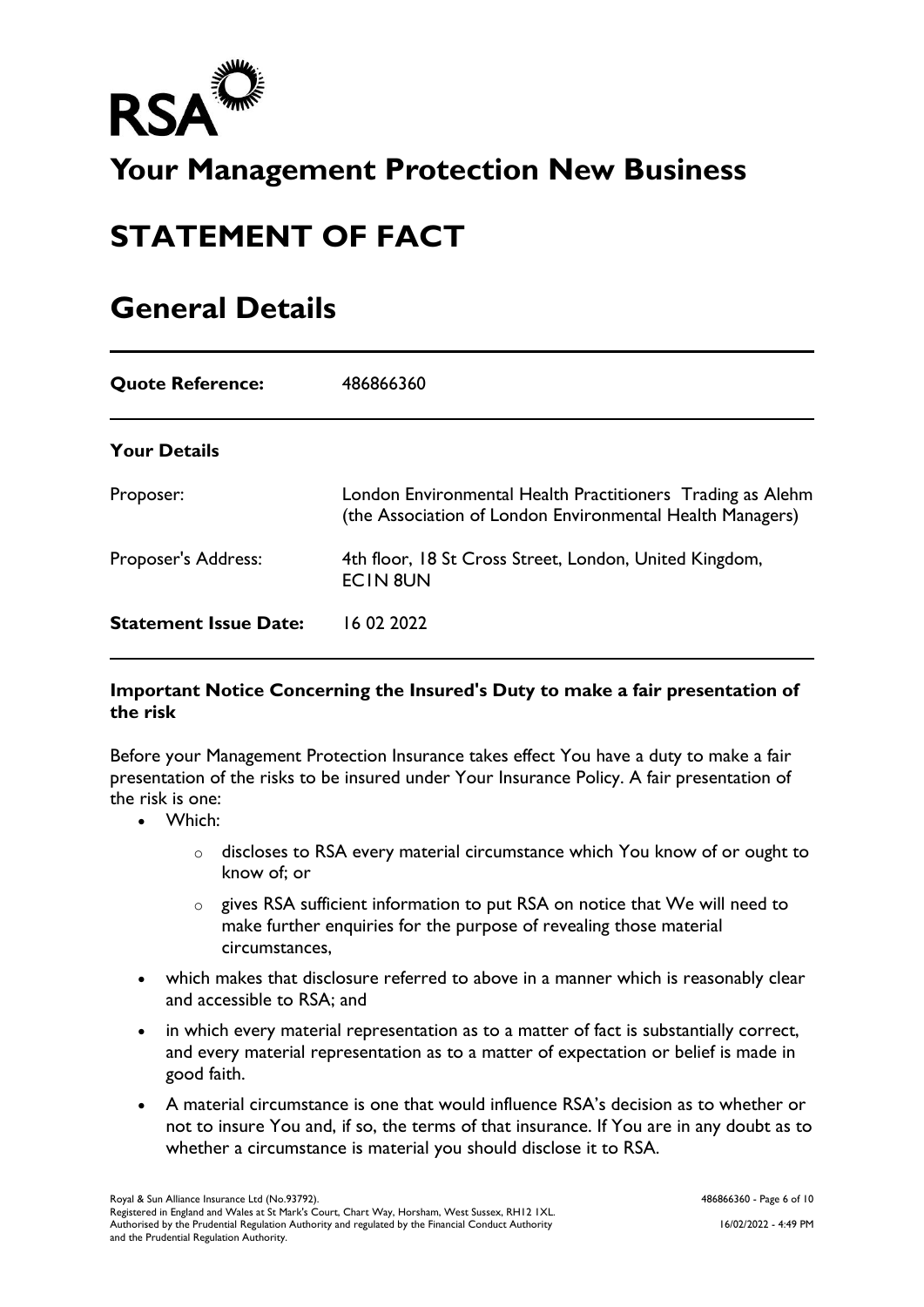

# **Your Management Protection New Business**

# **STATEMENT OF FACT**

## **General Details**

| <b>Quote Reference:</b>      | 486866360                                                                                                               |
|------------------------------|-------------------------------------------------------------------------------------------------------------------------|
| <b>Your Details</b>          |                                                                                                                         |
| Proposer:                    | London Environmental Health Practitioners Trading as Alehm<br>(the Association of London Environmental Health Managers) |
| <b>Proposer's Address:</b>   | 4th floor, 18 St Cross Street, London, United Kingdom,<br><b>ECIN 8UN</b>                                               |
| <b>Statement Issue Date:</b> | 16 02 2022                                                                                                              |

#### **Important Notice Concerning the Insured's Duty to make a fair presentation of the risk**

Before your Management Protection Insurance takes effect You have a duty to make a fair presentation of the risks to be insured under Your Insurance Policy. A fair presentation of the risk is one:

- Which:
	- o discloses to RSA every material circumstance which You know of or ought to know of; or
	- o gives RSA sufficient information to put RSA on notice that We will need to make further enquiries for the purpose of revealing those material circumstances,
- which makes that disclosure referred to above in a manner which is reasonably clear and accessible to RSA; and
- in which every material representation as to a matter of fact is substantially correct, and every material representation as to a matter of expectation or belief is made in good faith.
- A material circumstance is one that would influence RSA's decision as to whether or not to insure You and, if so, the terms of that insurance. If You are in any doubt as to whether a circumstance is material you should disclose it to RSA.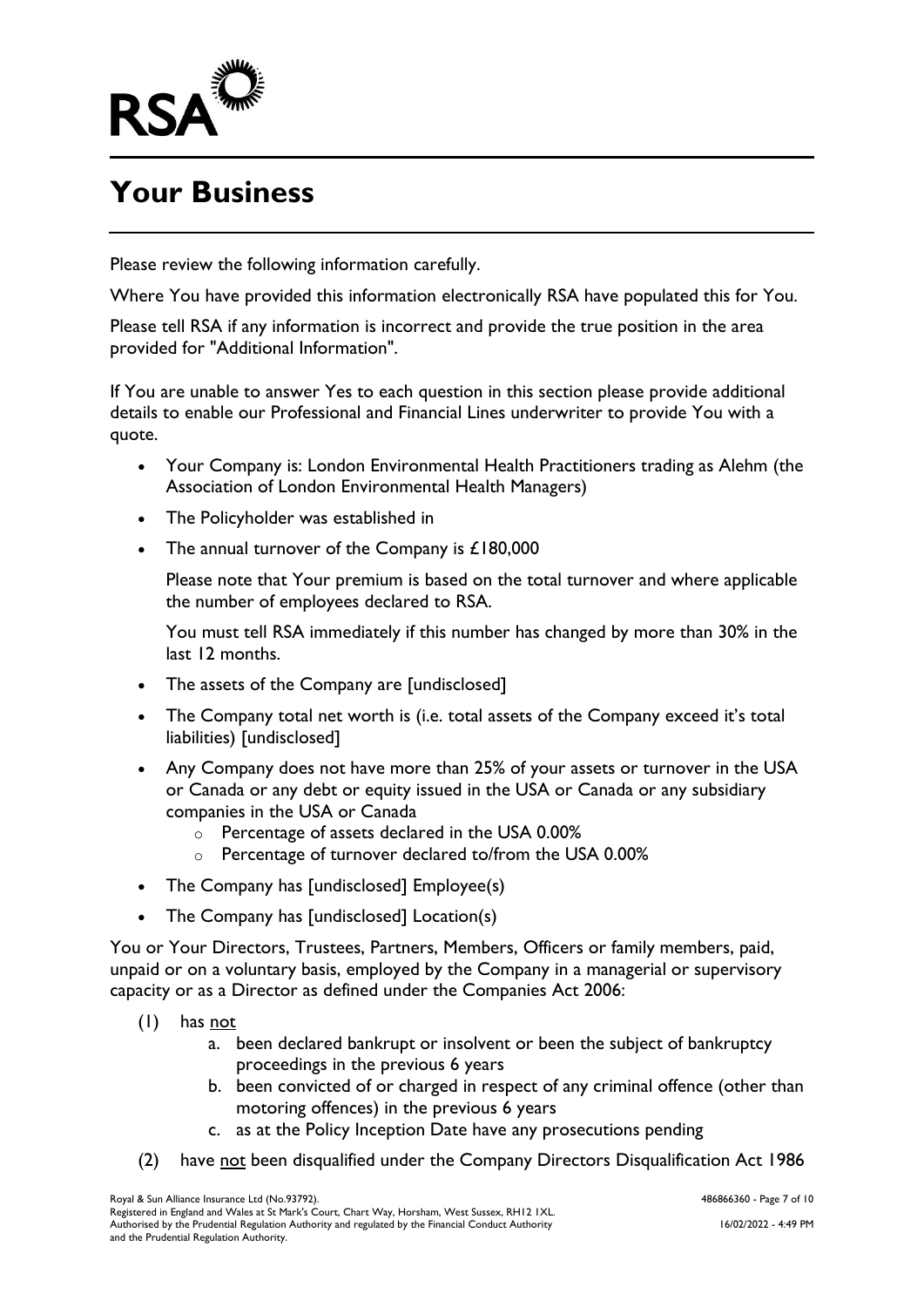

# **Your Business**

Please review the following information carefully.

Where You have provided this information electronically RSA have populated this for You.

Please tell RSA if any information is incorrect and provide the true position in the area provided for "Additional Information".

If You are unable to answer Yes to each question in this section please provide additional details to enable our Professional and Financial Lines underwriter to provide You with a quote.

- Your Company is: London Environmental Health Practitioners trading as Alehm (the Association of London Environmental Health Managers)
- The Policyholder was established in
- The annual turnover of the Company is £180,000

Please note that Your premium is based on the total turnover and where applicable the number of employees declared to RSA.

You must tell RSA immediately if this number has changed by more than 30% in the last 12 months.

- The assets of the Company are [undisclosed]
- The Company total net worth is (i.e. total assets of the Company exceed it's total liabilities) [undisclosed]
- Any Company does not have more than 25% of your assets or turnover in the USA or Canada or any debt or equity issued in the USA or Canada or any subsidiary companies in the USA or Canada
	- o Percentage of assets declared in the USA 0.00%
	- o Percentage of turnover declared to/from the USA 0.00%
- The Company has [undisclosed] Employee(s)
- The Company has [undisclosed] Location(s)

You or Your Directors, Trustees, Partners, Members, Officers or family members, paid, unpaid or on a voluntary basis, employed by the Company in a managerial or supervisory capacity or as a Director as defined under the Companies Act 2006:

- (1) has not
	- a. been declared bankrupt or insolvent or been the subject of bankruptcy proceedings in the previous 6 years
	- b. been convicted of or charged in respect of any criminal offence (other than motoring offences) in the previous 6 years
	- c. as at the Policy Inception Date have any prosecutions pending
- (2) have not been disqualified under the Company Directors Disqualification Act 1986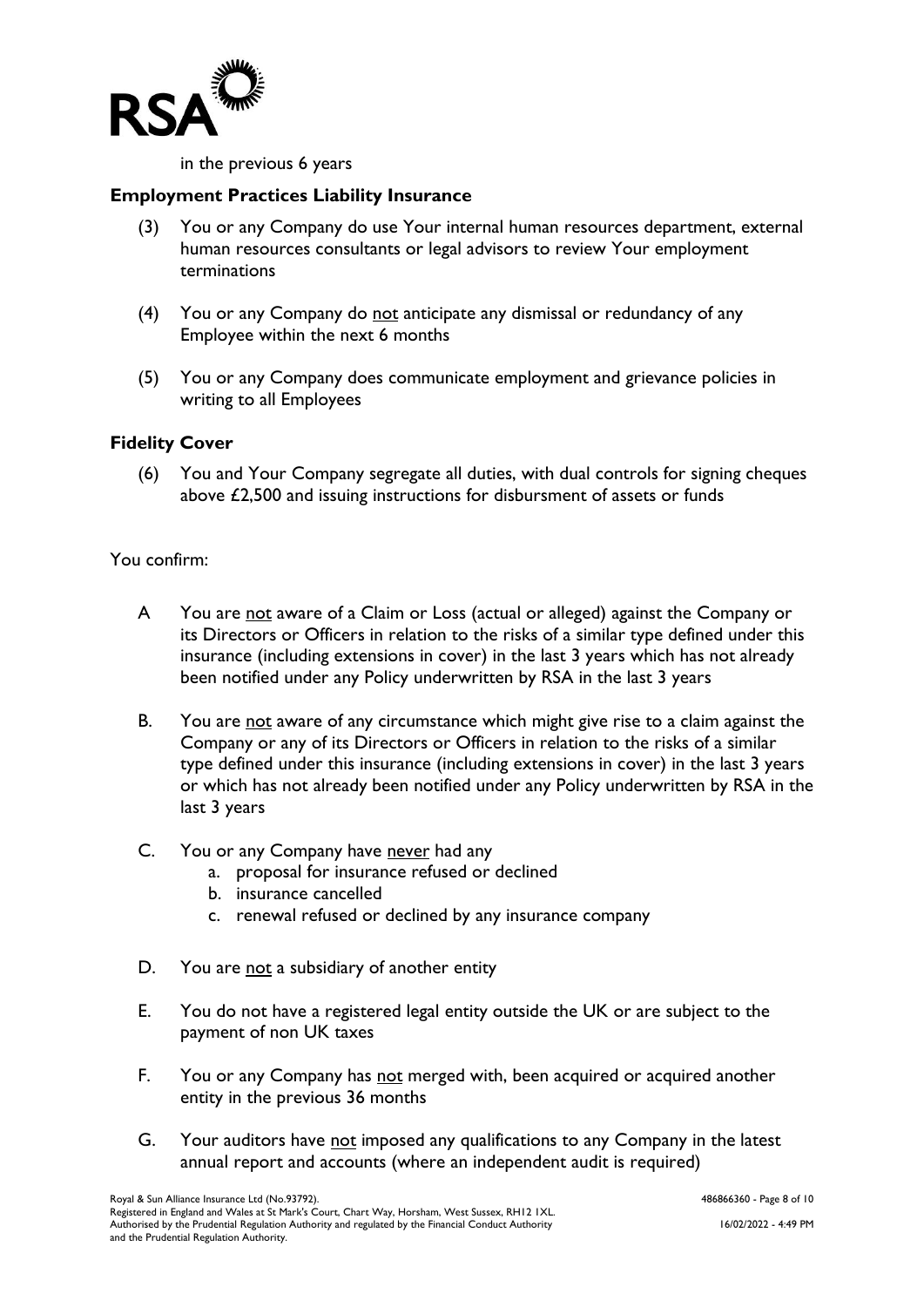

in the previous 6 years

#### **Employment Practices Liability Insurance**

- (3) You or any Company do use Your internal human resources department, external human resources consultants or legal advisors to review Your employment terminations
- (4) You or any Company do not anticipate any dismissal or redundancy of any Employee within the next 6 months
- (5) You or any Company does communicate employment and grievance policies in writing to all Employees

#### **Fidelity Cover**

(6) You and Your Company segregate all duties, with dual controls for signing cheques above £2,500 and issuing instructions for disbursment of assets or funds

#### You confirm:

- A You are not aware of a Claim or Loss (actual or alleged) against the Company or its Directors or Officers in relation to the risks of a similar type defined under this insurance (including extensions in cover) in the last 3 years which has not already been notified under any Policy underwritten by RSA in the last 3 years
- B. You are not aware of any circumstance which might give rise to a claim against the Company or any of its Directors or Officers in relation to the risks of a similar type defined under this insurance (including extensions in cover) in the last 3 years or which has not already been notified under any Policy underwritten by RSA in the last 3 years
- C. You or any Company have never had any
	- a. proposal for insurance refused or declined
	- b. insurance cancelled
	- c. renewal refused or declined by any insurance company
- D. You are not a subsidiary of another entity
- E. You do not have a registered legal entity outside the UK or are subject to the payment of non UK taxes
- F. You or any Company has not merged with, been acquired or acquired another entity in the previous 36 months
- G. Your auditors have not imposed any qualifications to any Company in the latest annual report and accounts (where an independent audit is required)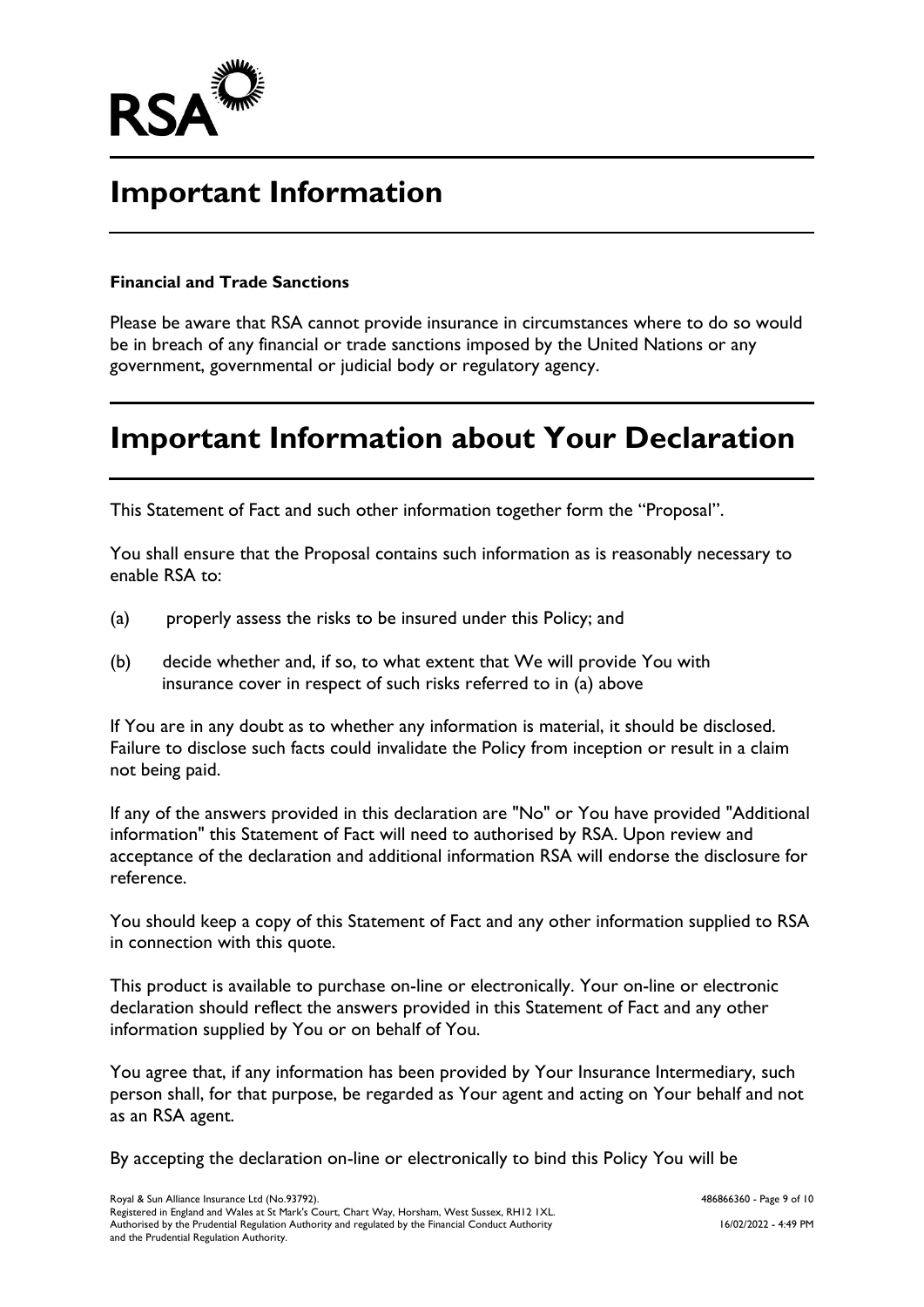

## **Important Information**

#### **Financial and Trade Sanctions**

Please be aware that RSA cannot provide insurance in circumstances where to do so would be in breach of any financial or trade sanctions imposed by the United Nations or any government, governmental or judicial body or regulatory agency.

## **Important Information about Your Declaration**

This Statement of Fact and such other information together form the "Proposal".

You shall ensure that the Proposal contains such information as is reasonably necessary to enable RSA to:

- (a) properly assess the risks to be insured under this Policy; and
- (b) decide whether and, if so, to what extent that We will provide You with insurance cover in respect of such risks referred to in (a) above

If You are in any doubt as to whether any information is material, it should be disclosed. Failure to disclose such facts could invalidate the Policy from inception or result in a claim not being paid.

If any of the answers provided in this declaration are "No" or You have provided "Additional information" this Statement of Fact will need to authorised by RSA. Upon review and acceptance of the declaration and additional information RSA will endorse the disclosure for reference.

You should keep a copy of this Statement of Fact and any other information supplied to RSA in connection with this quote.

This product is available to purchase on-line or electronically. Your on-line or electronic declaration should reflect the answers provided in this Statement of Fact and any other information supplied by You or on behalf of You.

You agree that, if any information has been provided by Your Insurance Intermediary, such person shall, for that purpose, be regarded as Your agent and acting on Your behalf and not as an RSA agent.

By accepting the declaration on-line or electronically to bind this Policy You will be